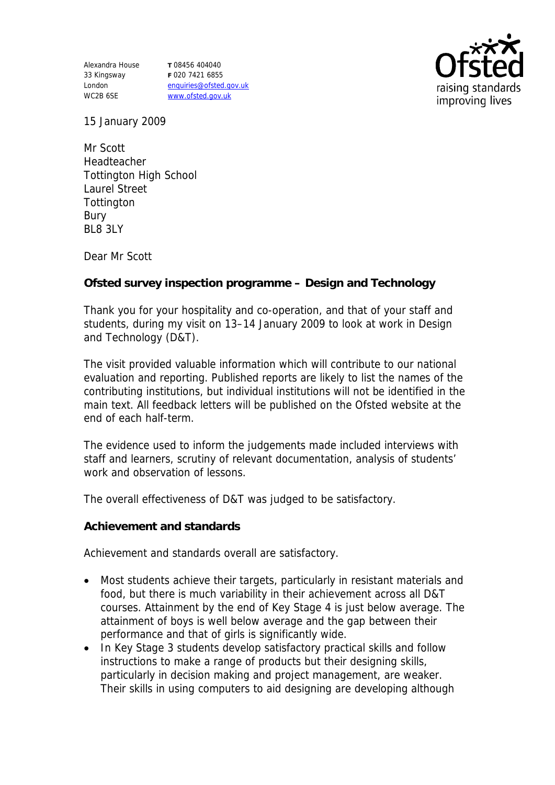Alexandra House 33 Kingsway London WC2B 6SE

**T** 08456 404040 **F** 020 7421 6855 enquiries@ofsted.gov.uk www.ofsted.gov.uk



15 January 2009

Mr Scott Headteacher Tottington High School Laurel Street **Tottington** Bury BL8 3LY

Dear Mr Scott

**Ofsted survey inspection programme – Design and Technology**

Thank you for your hospitality and co-operation, and that of your staff and students, during my visit on 13–14 January 2009 to look at work in Design and Technology (D&T).

The visit provided valuable information which will contribute to our national evaluation and reporting. Published reports are likely to list the names of the contributing institutions, but individual institutions will not be identified in the main text. All feedback letters will be published on the Ofsted website at the end of each half-term.

The evidence used to inform the judgements made included interviews with staff and learners, scrutiny of relevant documentation, analysis of students' work and observation of lessons.

The overall effectiveness of D&T was judged to be satisfactory.

**Achievement and standards**

Achievement and standards overall are satisfactory.

- Most students achieve their targets, particularly in resistant materials and food, but there is much variability in their achievement across all D&T courses. Attainment by the end of Key Stage 4 is just below average. The attainment of boys is well below average and the gap between their performance and that of girls is significantly wide.
- In Key Stage 3 students develop satisfactory practical skills and follow instructions to make a range of products but their designing skills, particularly in decision making and project management, are weaker. Their skills in using computers to aid designing are developing although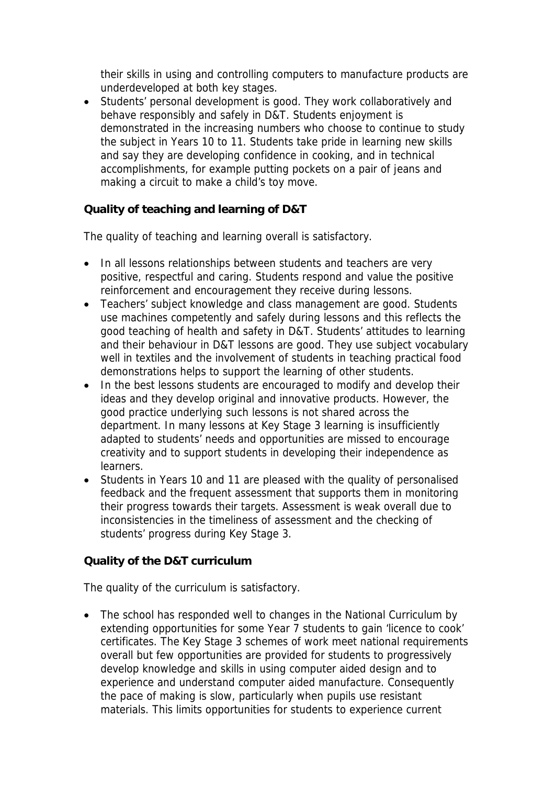their skills in using and controlling computers to manufacture products are underdeveloped at both key stages.

 Students' personal development is good. They work collaboratively and behave responsibly and safely in D&T. Students enjoyment is demonstrated in the increasing numbers who choose to continue to study the subject in Years 10 to 11. Students take pride in learning new skills and say they are developing confidence in cooking, and in technical accomplishments, for example putting pockets on a pair of jeans and making a circuit to make a child's toy move.

## **Quality of teaching and learning of D&T**

The quality of teaching and learning overall is satisfactory.

- In all lessons relationships between students and teachers are very positive, respectful and caring. Students respond and value the positive reinforcement and encouragement they receive during lessons.
- Teachers' subject knowledge and class management are good. Students use machines competently and safely during lessons and this reflects the good teaching of health and safety in D&T. Students' attitudes to learning and their behaviour in D&T lessons are good. They use subject vocabulary well in textiles and the involvement of students in teaching practical food demonstrations helps to support the learning of other students.
- In the best lessons students are encouraged to modify and develop their ideas and they develop original and innovative products. However, the good practice underlying such lessons is not shared across the department. In many lessons at Key Stage 3 learning is insufficiently adapted to students' needs and opportunities are missed to encourage creativity and to support students in developing their independence as learners.
- Students in Years 10 and 11 are pleased with the quality of personalised feedback and the frequent assessment that supports them in monitoring their progress towards their targets. Assessment is weak overall due to inconsistencies in the timeliness of assessment and the checking of students' progress during Key Stage 3.

**Quality of the D&T curriculum** 

The quality of the curriculum is satisfactory.

• The school has responded well to changes in the National Curriculum by extending opportunities for some Year 7 students to gain 'licence to cook' certificates. The Key Stage 3 schemes of work meet national requirements overall but few opportunities are provided for students to progressively develop knowledge and skills in using computer aided design and to experience and understand computer aided manufacture. Consequently the pace of making is slow, particularly when pupils use resistant materials. This limits opportunities for students to experience current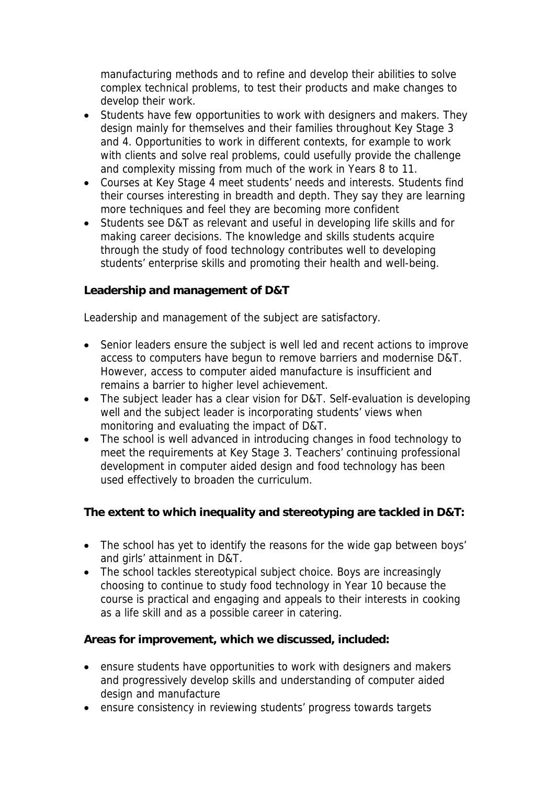manufacturing methods and to refine and develop their abilities to solve complex technical problems, to test their products and make changes to develop their work.

- Students have few opportunities to work with designers and makers. They design mainly for themselves and their families throughout Key Stage 3 and 4. Opportunities to work in different contexts, for example to work with clients and solve real problems, could usefully provide the challenge and complexity missing from much of the work in Years 8 to 11.
- Courses at Key Stage 4 meet students' needs and interests. Students find their courses interesting in breadth and depth. They say they are learning more techniques and feel they are becoming more confident
- Students see D&T as relevant and useful in developing life skills and for making career decisions. The knowledge and skills students acquire through the study of food technology contributes well to developing students' enterprise skills and promoting their health and well-being.

**Leadership and management of D&T**

Leadership and management of the subject are satisfactory.

- Senior leaders ensure the subject is well led and recent actions to improve access to computers have begun to remove barriers and modernise D&T. However, access to computer aided manufacture is insufficient and remains a barrier to higher level achievement.
- The subject leader has a clear vision for D&T. Self-evaluation is developing well and the subject leader is incorporating students' views when monitoring and evaluating the impact of D&T.
- The school is well advanced in introducing changes in food technology to meet the requirements at Key Stage 3. Teachers' continuing professional development in computer aided design and food technology has been used effectively to broaden the curriculum.

**The extent to which inequality and stereotyping are tackled in D&T:**

- The school has yet to identify the reasons for the wide gap between boys' and girls' attainment in D&T.
- The school tackles stereotypical subject choice. Boys are increasingly choosing to continue to study food technology in Year 10 because the course is practical and engaging and appeals to their interests in cooking as a life skill and as a possible career in catering.

**Areas for improvement, which we discussed, included:**

- ensure students have opportunities to work with designers and makers and progressively develop skills and understanding of computer aided design and manufacture
- ensure consistency in reviewing students' progress towards targets